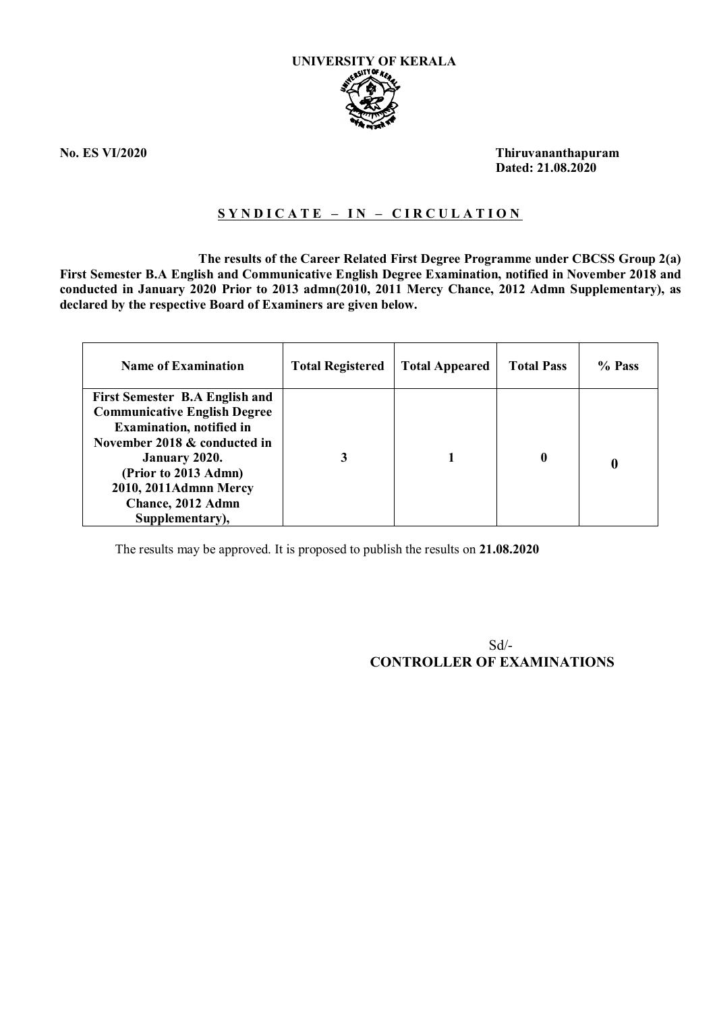

**No. ES VI/2020 Thiruvananthapuram Dated: 21.08.2020**

## **S Y N D I C A T E – I N – C I R C U L A T I O N**

 **The results of the Career Related First Degree Programme under CBCSS Group 2(a) First Semester B.A English and Communicative English Degree Examination, notified in November 2018 and conducted in January 2020 Prior to 2013 admn(2010, 2011 Mercy Chance, 2012 Admn Supplementary), as declared by the respective Board of Examiners are given below.**

| <b>Name of Examination</b>                                                   | <b>Total Registered</b> | <b>Total Appeared</b> | <b>Total Pass</b> | % Pass |
|------------------------------------------------------------------------------|-------------------------|-----------------------|-------------------|--------|
| <b>First Semester B.A English and</b><br><b>Communicative English Degree</b> |                         |                       |                   |        |
| <b>Examination, notified in</b>                                              |                         |                       |                   |        |
| November 2018 & conducted in                                                 |                         |                       |                   |        |
| <b>January 2020.</b>                                                         | 3                       |                       | 0                 |        |
| (Prior to 2013 Admn)                                                         |                         |                       |                   |        |
| 2010, 2011Admnn Mercy                                                        |                         |                       |                   |        |
| Chance, 2012 Admn                                                            |                         |                       |                   |        |
| Supplementary),                                                              |                         |                       |                   |        |

The results may be approved. It is proposed to publish the results on **21.08.2020**

 Sd/- **CONTROLLER OF EXAMINATIONS**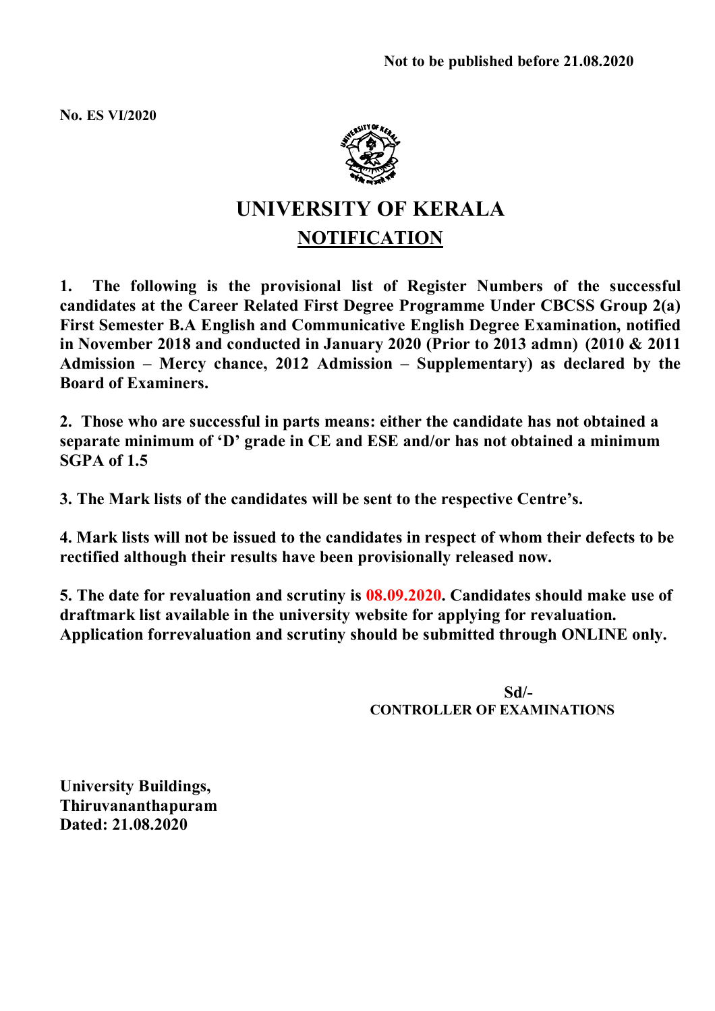**No. ES VI/2020**



# **UNIVERSITY OF KERALA NOTIFICATION**

**1. The following is the provisional list of Register Numbers of the successful candidates at the Career Related First Degree Programme Under CBCSS Group 2(a) First Semester B.A English and Communicative English Degree Examination, notified in November 2018 and conducted in January 2020 (Prior to 2013 admn) (2010 & 2011 Admission – Mercy chance, 2012 Admission – Supplementary) as declared by the Board of Examiners.**

**2. Those who are successful in parts means: either the candidate has not obtained a separate minimum of 'D' grade in CE and ESE and/or has not obtained a minimum SGPA of 1.5**

**3. The Mark lists of the candidates will be sent to the respective Centre's.**

**4. Mark lists will not be issued to the candidates in respect of whom their defects to be rectified although their results have been provisionally released now.**

**5. The date for revaluation and scrutiny is 08.09.2020. Candidates should make use of draftmark list available in the university website for applying for revaluation. Application forrevaluation and scrutiny should be submitted through ONLINE only.**

> **Sd/- CONTROLLER OF EXAMINATIONS**

**University Buildings, Thiruvananthapuram Dated: 21.08.2020**